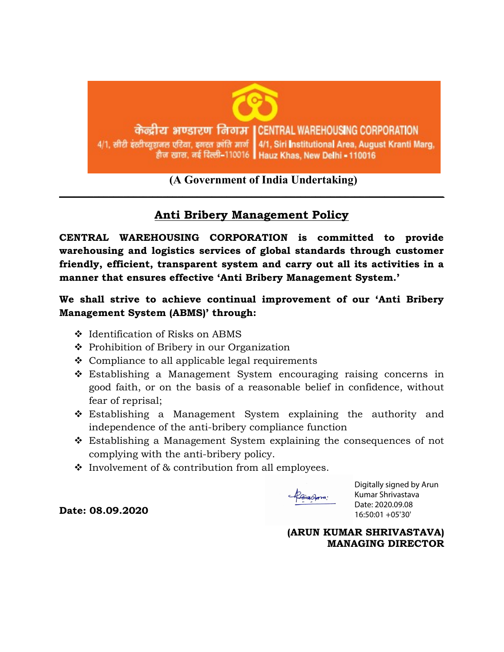

## (A Government of India Undertaking)

## Anti Bribery Management Policy

 $\_$  , and the contribution of the contribution of the contribution of the contribution of  $\mathcal{L}_\mathbf{z}$ 

CENTRAL WAREHOUSING CORPORATION is committed to provide warehousing and logistics services of global standards through customer friendly, efficient, transparent system and carry out all its activities in a manner that ensures effective 'Anti Bribery Management System.'

We shall strive to achieve continual improvement of our 'Anti Bribery Management System (ABMS)' through:

- Identification of Risks on ABMS
- ❖ Prohibition of Bribery in our Organization
- $\triangle$  Compliance to all applicable legal requirements
- Establishing a Management System encouraging raising concerns in good faith, or on the basis of a reasonable belief in confidence, without fear of reprisal;
- \* Establishing a Management System explaining the authority and independence of the anti-bribery compliance function
- Establishing a Management System explaining the consequences of not complying with the anti-bribery policy.
- $\cdot$  Involvement of & contribution from all employees.

PoivaGorra:

Digitally signed by Arun Kumar Shrivastava Date: 2020.09.08 16:50:01 +05'30'

(ARUN KUMAR SHRIVASTAVA) MANAGING DIRECTOR

Date: 08.09.2020